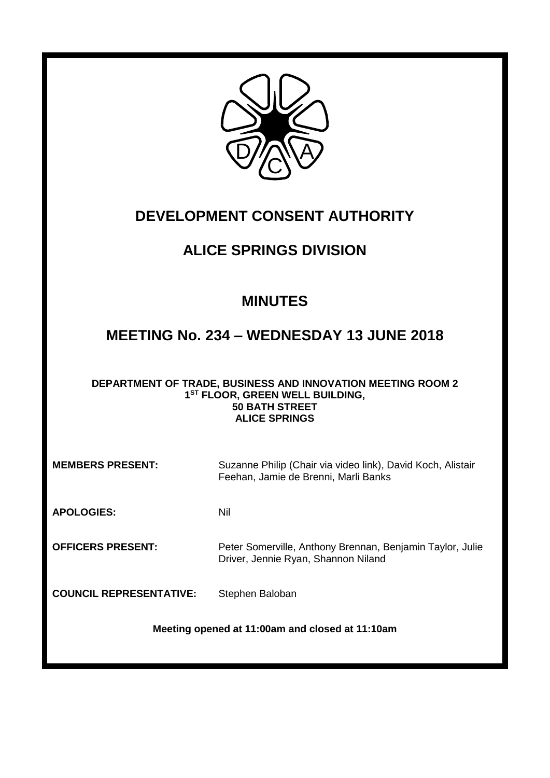

# **DEVELOPMENT CONSENT AUTHORITY**

# **ALICE SPRINGS DIVISION**

## **MINUTES**

## **MEETING No. 234 – WEDNESDAY 13 JUNE 2018**

#### **DEPARTMENT OF TRADE, BUSINESS AND INNOVATION MEETING ROOM 2 1 ST FLOOR, GREEN WELL BUILDING, 50 BATH STREET ALICE SPRINGS**

| <b>MEMBERS PRESENT:</b>                         | Suzanne Philip (Chair via video link), David Koch, Alistair<br>Feehan, Jamie de Brenni, Marli Banks |  |
|-------------------------------------------------|-----------------------------------------------------------------------------------------------------|--|
| <b>APOLOGIES:</b>                               | Nil                                                                                                 |  |
| <b>OFFICERS PRESENT:</b>                        | Peter Somerville, Anthony Brennan, Benjamin Taylor, Julie<br>Driver, Jennie Ryan, Shannon Niland    |  |
| <b>COUNCIL REPRESENTATIVE:</b>                  | Stephen Baloban                                                                                     |  |
| Meeting opened at 11:00am and closed at 11:10am |                                                                                                     |  |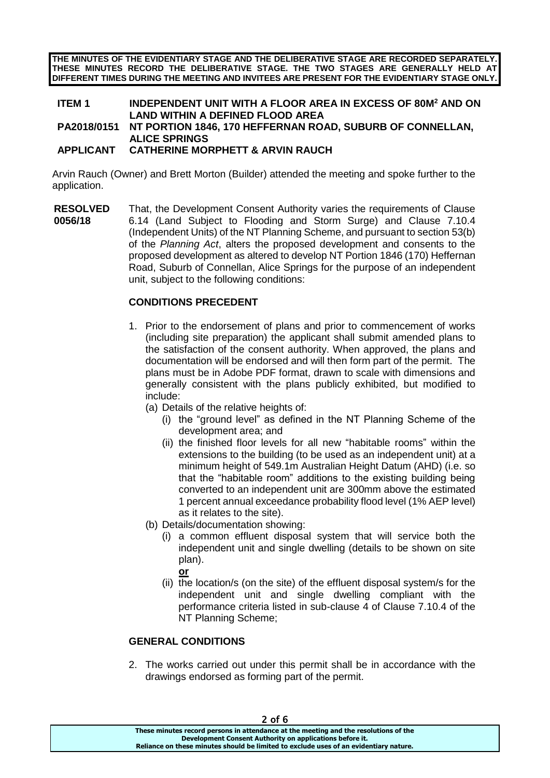**THE MINUTES OF THE EVIDENTIARY STAGE AND THE DELIBERATIVE STAGE ARE RECORDED SEPARATELY. THESE MINUTES RECORD THE DELIBERATIVE STAGE. THE TWO STAGES ARE GENERALLY HELD AT DIFFERENT TIMES DURING THE MEETING AND INVITEES ARE PRESENT FOR THE EVIDENTIARY STAGE ONLY.**

### **ITEM 1 INDEPENDENT UNIT WITH A FLOOR AREA IN EXCESS OF 80M<sup>2</sup> AND ON LAND WITHIN A DEFINED FLOOD AREA**

#### **PA2018/0151 NT PORTION 1846, 170 HEFFERNAN ROAD, SUBURB OF CONNELLAN, ALICE SPRINGS**

#### **APPLICANT CATHERINE MORPHETT & ARVIN RAUCH**

Arvin Rauch (Owner) and Brett Morton (Builder) attended the meeting and spoke further to the application.

**RESOLVED 0056/18** That, the Development Consent Authority varies the requirements of Clause 6.14 (Land Subject to Flooding and Storm Surge) and Clause 7.10.4 (Independent Units) of the NT Planning Scheme, and pursuant to section 53(b) of the *Planning Act*, alters the proposed development and consents to the proposed development as altered to develop NT Portion 1846 (170) Heffernan Road, Suburb of Connellan, Alice Springs for the purpose of an independent unit, subject to the following conditions:

#### **CONDITIONS PRECEDENT**

- 1. Prior to the endorsement of plans and prior to commencement of works (including site preparation) the applicant shall submit amended plans to the satisfaction of the consent authority. When approved, the plans and documentation will be endorsed and will then form part of the permit. The plans must be in Adobe PDF format, drawn to scale with dimensions and generally consistent with the plans publicly exhibited, but modified to include:
	- (a) Details of the relative heights of:
		- (i) the "ground level" as defined in the NT Planning Scheme of the development area; and
		- (ii) the finished floor levels for all new "habitable rooms" within the extensions to the building (to be used as an independent unit) at a minimum height of 549.1m Australian Height Datum (AHD) (i.e. so that the "habitable room" additions to the existing building being converted to an independent unit are 300mm above the estimated 1 percent annual exceedance probability flood level (1% AEP level) as it relates to the site).
	- (b) Details/documentation showing:
		- (i) a common effluent disposal system that will service both the independent unit and single dwelling (details to be shown on site plan).
			- **or**
		- (ii) the location/s (on the site) of the effluent disposal system/s for the independent unit and single dwelling compliant with the performance criteria listed in sub-clause 4 of Clause 7.10.4 of the NT Planning Scheme;

#### **GENERAL CONDITIONS**

2. The works carried out under this permit shall be in accordance with the drawings endorsed as forming part of the permit.

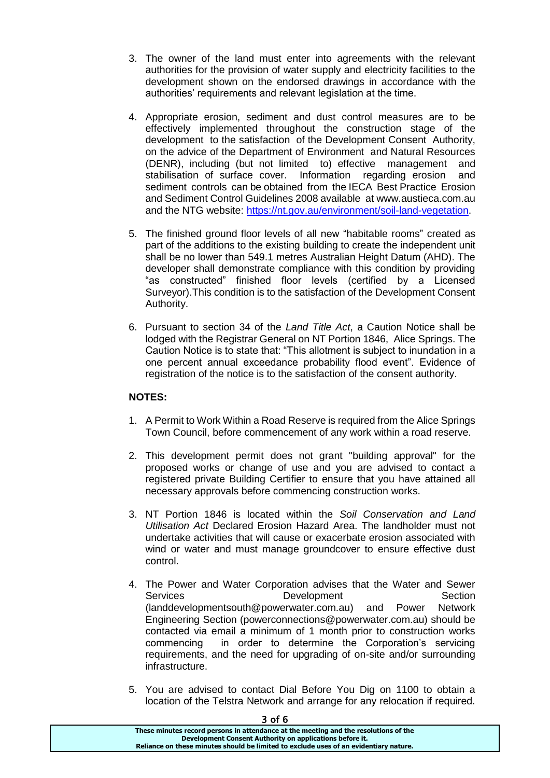- 3. The owner of the land must enter into agreements with the relevant authorities for the provision of water supply and electricity facilities to the development shown on the endorsed drawings in accordance with the authorities' requirements and relevant legislation at the time.
- 4. Appropriate erosion, sediment and dust control measures are to be effectively implemented throughout the construction stage of the development to the satisfaction of the Development Consent Authority, on the advice of the Department of Environment and Natural Resources (DENR), including (but not limited to) effective management and stabilisation of surface cover. Information regarding erosion and sediment controls can be obtained from the IECA Best Practice Erosion and Sediment Control Guidelines 2008 available at www.austieca.com.au and the NTG website: [https://nt.gov.au/environment/soil-land-vegetation.](https://nt.gov.au/environment/soil-land-vegetation)
- 5. The finished ground floor levels of all new "habitable rooms" created as part of the additions to the existing building to create the independent unit shall be no lower than 549.1 metres Australian Height Datum (AHD). The developer shall demonstrate compliance with this condition by providing "as constructed" finished floor levels (certified by a Licensed Surveyor).This condition is to the satisfaction of the Development Consent Authority.
- 6. Pursuant to section 34 of the *Land Title Act*, a Caution Notice shall be lodged with the Registrar General on NT Portion 1846, Alice Springs. The Caution Notice is to state that: "This allotment is subject to inundation in a one percent annual exceedance probability flood event". Evidence of registration of the notice is to the satisfaction of the consent authority.

#### **NOTES:**

- 1. A Permit to Work Within a Road Reserve is required from the Alice Springs Town Council, before commencement of any work within a road reserve.
- 2. This development permit does not grant "building approval" for the proposed works or change of use and you are advised to contact a registered private Building Certifier to ensure that you have attained all necessary approvals before commencing construction works.
- 3. NT Portion 1846 is located within the *Soil Conservation and Land Utilisation Act* Declared Erosion Hazard Area. The landholder must not undertake activities that will cause or exacerbate erosion associated with wind or water and must manage groundcover to ensure effective dust control.
- 4. The Power and Water Corporation advises that the Water and Sewer Services **Development** Section (landdevelopmentsouth@powerwater.com.au) and Power Network Engineering Section (powerconnections@powerwater.com.au) should be contacted via email a minimum of 1 month prior to construction works commencing in order to determine the Corporation's servicing requirements, and the need for upgrading of on-site and/or surrounding infrastructure.
- 5. You are advised to contact Dial Before You Dig on 1100 to obtain a location of the Telstra Network and arrange for any relocation if required.

#### 3 of 6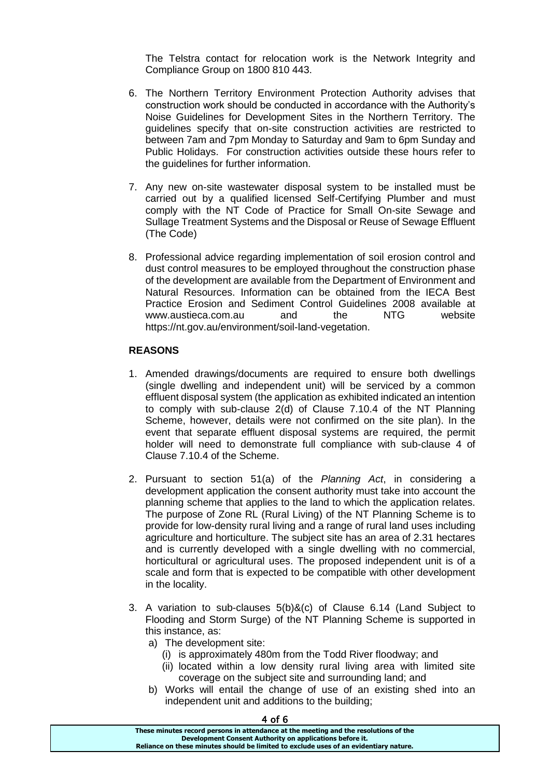The Telstra contact for relocation work is the Network Integrity and Compliance Group on 1800 810 443.

- 6. The Northern Territory Environment Protection Authority advises that construction work should be conducted in accordance with the Authority's Noise Guidelines for Development Sites in the Northern Territory. The guidelines specify that on-site construction activities are restricted to between 7am and 7pm Monday to Saturday and 9am to 6pm Sunday and Public Holidays. For construction activities outside these hours refer to the guidelines for further information.
- 7. Any new on-site wastewater disposal system to be installed must be carried out by a qualified licensed Self-Certifying Plumber and must comply with the NT Code of Practice for Small On-site Sewage and Sullage Treatment Systems and the Disposal or Reuse of Sewage Effluent (The Code)
- 8. Professional advice regarding implementation of soil erosion control and dust control measures to be employed throughout the construction phase of the development are available from the Department of Environment and Natural Resources. Information can be obtained from the IECA Best Practice Erosion and Sediment Control Guidelines 2008 available at<br>www.austieca.com.au and the NTG website www.austieca.com.au and the NTG website https://nt.gov.au/environment/soil-land-vegetation.

#### **REASONS**

- 1. Amended drawings/documents are required to ensure both dwellings (single dwelling and independent unit) will be serviced by a common effluent disposal system (the application as exhibited indicated an intention to comply with sub-clause 2(d) of Clause 7.10.4 of the NT Planning Scheme, however, details were not confirmed on the site plan). In the event that separate effluent disposal systems are required, the permit holder will need to demonstrate full compliance with sub-clause 4 of Clause 7.10.4 of the Scheme.
- 2. Pursuant to section 51(a) of the *Planning Act*, in considering a development application the consent authority must take into account the planning scheme that applies to the land to which the application relates. The purpose of Zone RL (Rural Living) of the NT Planning Scheme is to provide for low-density rural living and a range of rural land uses including agriculture and horticulture. The subject site has an area of 2.31 hectares and is currently developed with a single dwelling with no commercial, horticultural or agricultural uses. The proposed independent unit is of a scale and form that is expected to be compatible with other development in the locality.
- 3. A variation to sub-clauses 5(b)&(c) of Clause 6.14 (Land Subject to Flooding and Storm Surge) of the NT Planning Scheme is supported in this instance, as:
	- a) The development site:
		- (i) is approximately 480m from the Todd River floodway; and
		- (ii) located within a low density rural living area with limited site coverage on the subject site and surrounding land; and
	- b) Works will entail the change of use of an existing shed into an independent unit and additions to the building;

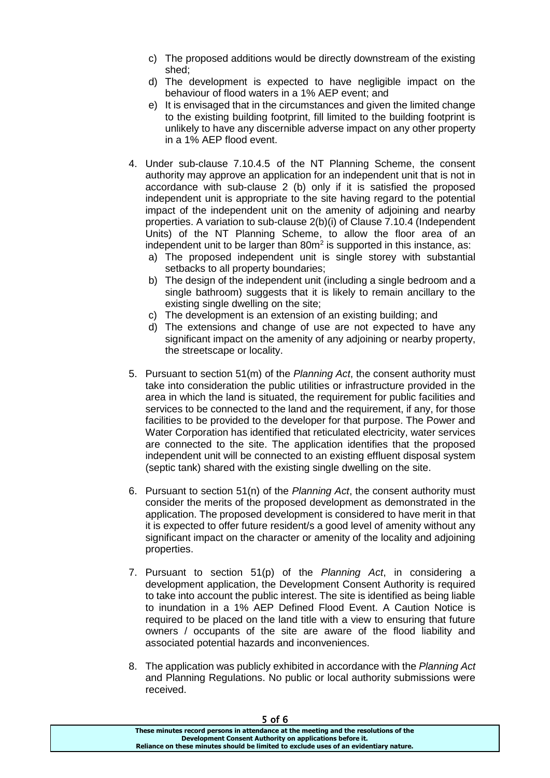- c) The proposed additions would be directly downstream of the existing shed;
- d) The development is expected to have negligible impact on the behaviour of flood waters in a 1% AEP event; and
- e) It is envisaged that in the circumstances and given the limited change to the existing building footprint, fill limited to the building footprint is unlikely to have any discernible adverse impact on any other property in a 1% AEP flood event.
- 4. Under sub-clause 7.10.4.5 of the NT Planning Scheme, the consent authority may approve an application for an independent unit that is not in accordance with sub-clause 2 (b) only if it is satisfied the proposed independent unit is appropriate to the site having regard to the potential impact of the independent unit on the amenity of adjoining and nearby properties. A variation to sub-clause 2(b)(i) of Clause 7.10.4 (Independent Units) of the NT Planning Scheme, to allow the floor area of an independent unit to be larger than  $80m^2$  is supported in this instance, as:
	- a) The proposed independent unit is single storey with substantial setbacks to all property boundaries;
	- b) The design of the independent unit (including a single bedroom and a single bathroom) suggests that it is likely to remain ancillary to the existing single dwelling on the site;
	- c) The development is an extension of an existing building; and
	- d) The extensions and change of use are not expected to have any significant impact on the amenity of any adjoining or nearby property, the streetscape or locality.
- 5. Pursuant to section 51(m) of the *Planning Act*, the consent authority must take into consideration the public utilities or infrastructure provided in the area in which the land is situated, the requirement for public facilities and services to be connected to the land and the requirement, if any, for those facilities to be provided to the developer for that purpose. The Power and Water Corporation has identified that reticulated electricity, water services are connected to the site. The application identifies that the proposed independent unit will be connected to an existing effluent disposal system (septic tank) shared with the existing single dwelling on the site.
- 6. Pursuant to section 51(n) of the *Planning Act*, the consent authority must consider the merits of the proposed development as demonstrated in the application. The proposed development is considered to have merit in that it is expected to offer future resident/s a good level of amenity without any significant impact on the character or amenity of the locality and adjoining properties.
- 7. Pursuant to section 51(p) of the *Planning Act*, in considering a development application, the Development Consent Authority is required to take into account the public interest. The site is identified as being liable to inundation in a 1% AEP Defined Flood Event. A Caution Notice is required to be placed on the land title with a view to ensuring that future owners / occupants of the site are aware of the flood liability and associated potential hazards and inconveniences.
- 8. The application was publicly exhibited in accordance with the *Planning Act* and Planning Regulations. No public or local authority submissions were received.

| 5 OT 6                                                                                |  |
|---------------------------------------------------------------------------------------|--|
| These minutes record persons in attendance at the meeting and the resolutions of the  |  |
| Development Consent Authority on applications before it.                              |  |
| Reliance on these minutes should be limited to exclude uses of an evidentiary nature. |  |
|                                                                                       |  |

#### 5 of 6